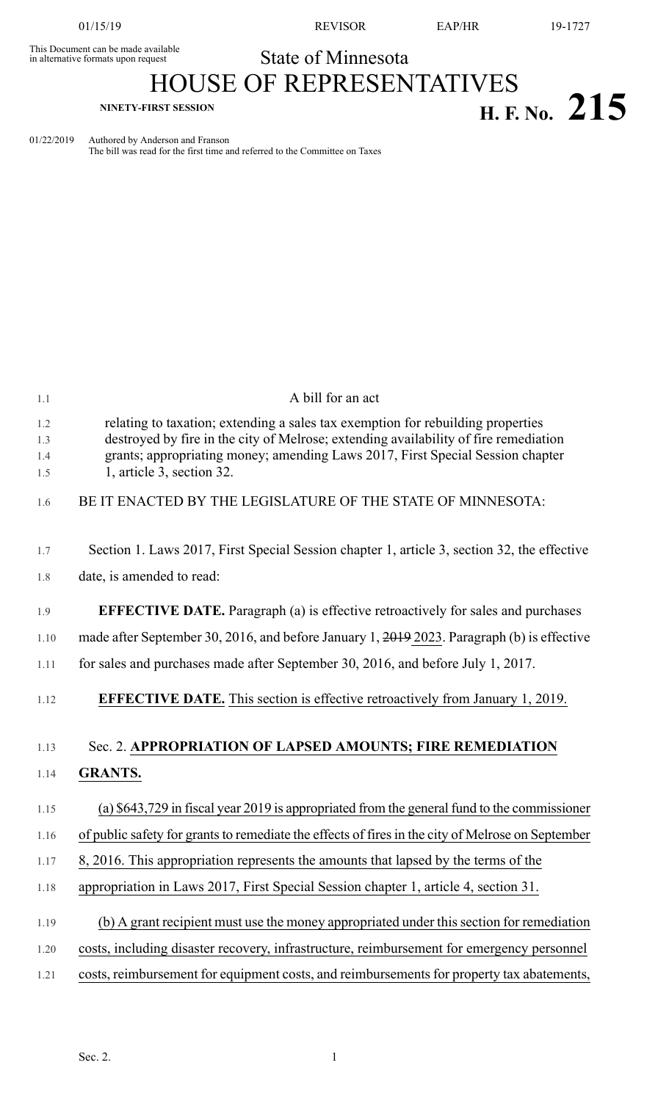This Document can be made available<br>in alternative formats upon request

01/15/19 REVISOR EAP/HR 19-1727

**H. F.** No. 215

## State of Minnesota HOUSE OF REPRESENTATIVES

01/22/2019 Authored by Anderson and Franson The bill was read for the first time and referred to the Committee on Taxes

| 1.1                      | A bill for an act                                                                                                                                                                                                                                                                      |
|--------------------------|----------------------------------------------------------------------------------------------------------------------------------------------------------------------------------------------------------------------------------------------------------------------------------------|
| 1.2<br>1.3<br>1.4<br>1.5 | relating to taxation; extending a sales tax exemption for rebuilding properties<br>destroyed by fire in the city of Melrose; extending availability of fire remediation<br>grants; appropriating money; amending Laws 2017, First Special Session chapter<br>1, article 3, section 32. |
| 1.6                      | BE IT ENACTED BY THE LEGISLATURE OF THE STATE OF MINNESOTA:                                                                                                                                                                                                                            |
| 1.7                      | Section 1. Laws 2017, First Special Session chapter 1, article 3, section 32, the effective                                                                                                                                                                                            |
| 1.8                      | date, is amended to read:                                                                                                                                                                                                                                                              |
| 1.9                      | <b>EFFECTIVE DATE.</b> Paragraph (a) is effective retroactively for sales and purchases                                                                                                                                                                                                |
| 1.10                     | made after September 30, 2016, and before January 1, 2019 2023. Paragraph (b) is effective                                                                                                                                                                                             |
| 1.11                     | for sales and purchases made after September 30, 2016, and before July 1, 2017.                                                                                                                                                                                                        |
| 1.12                     | <b>EFFECTIVE DATE.</b> This section is effective retroactively from January 1, 2019.                                                                                                                                                                                                   |
| 1.13                     | Sec. 2. APPROPRIATION OF LAPSED AMOUNTS; FIRE REMEDIATION                                                                                                                                                                                                                              |
| 1.14                     | <b>GRANTS.</b>                                                                                                                                                                                                                                                                         |
| 1.15                     | (a) \$643,729 in fiscal year 2019 is appropriated from the general fund to the commissioner                                                                                                                                                                                            |
| 1.16                     | of public safety for grants to remediate the effects of fires in the city of Melrose on September                                                                                                                                                                                      |
| 1.17                     | 8, 2016. This appropriation represents the amounts that lapsed by the terms of the                                                                                                                                                                                                     |
| 1.18                     | appropriation in Laws 2017, First Special Session chapter 1, article 4, section 31.                                                                                                                                                                                                    |
| 1.19                     | (b) A grant recipient must use the money appropriated under this section for remediation                                                                                                                                                                                               |
| 1.20                     | costs, including disaster recovery, infrastructure, reimbursement for emergency personnel                                                                                                                                                                                              |
| 1.21                     | costs, reimbursement for equipment costs, and reimbursements for property tax abatements,                                                                                                                                                                                              |